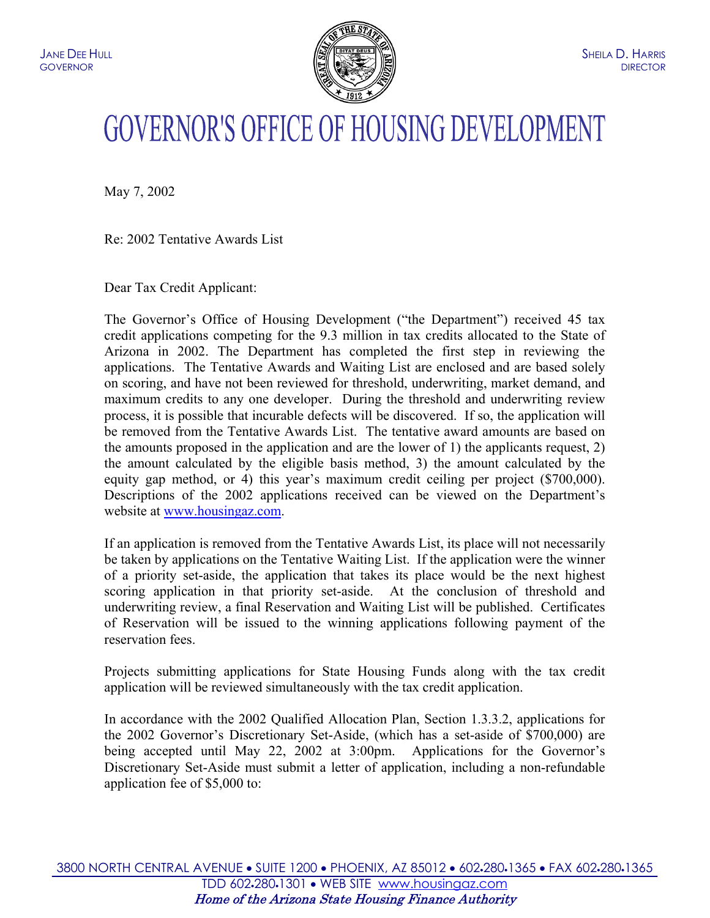

## **GOVERNOR'S OFFICE OF HOUSING DEVELOPMENT**

May 7, 2002

Re: 2002 Tentative Awards List

Dear Tax Credit Applicant:

The Governor's Office of Housing Development ("the Department") received 45 tax credit applications competing for the 9.3 million in tax credits allocated to the State of Arizona in 2002. The Department has completed the first step in reviewing the applications. The Tentative Awards and Waiting List are enclosed and are based solely on scoring, and have not been reviewed for threshold, underwriting, market demand, and maximum credits to any one developer. During the threshold and underwriting review process, it is possible that incurable defects will be discovered. If so, the application will be removed from the Tentative Awards List. The tentative award amounts are based on the amounts proposed in the application and are the lower of 1) the applicants request, 2) the amount calculated by the eligible basis method, 3) the amount calculated by the equity gap method, or 4) this year's maximum credit ceiling per project (\$700,000). Descriptions of the 2002 applications received can be viewed on the Department's website at [www.housingaz.com.](http://www.housingaz.com/)

If an application is removed from the Tentative Awards List, its place will not necessarily be taken by applications on the Tentative Waiting List. If the application were the winner of a priority set-aside, the application that takes its place would be the next highest scoring application in that priority set-aside. At the conclusion of threshold and underwriting review, a final Reservation and Waiting List will be published. Certificates of Reservation will be issued to the winning applications following payment of the reservation fees.

Projects submitting applications for State Housing Funds along with the tax credit application will be reviewed simultaneously with the tax credit application.

In accordance with the 2002 Qualified Allocation Plan, Section 1.3.3.2, applications for the 2002 Governor's Discretionary Set-Aside, (which has a set-aside of \$700,000) are being accepted until May 22, 2002 at 3:00pm. Applications for the Governor's Discretionary Set-Aside must submit a letter of application, including a non-refundable application fee of \$5,000 to: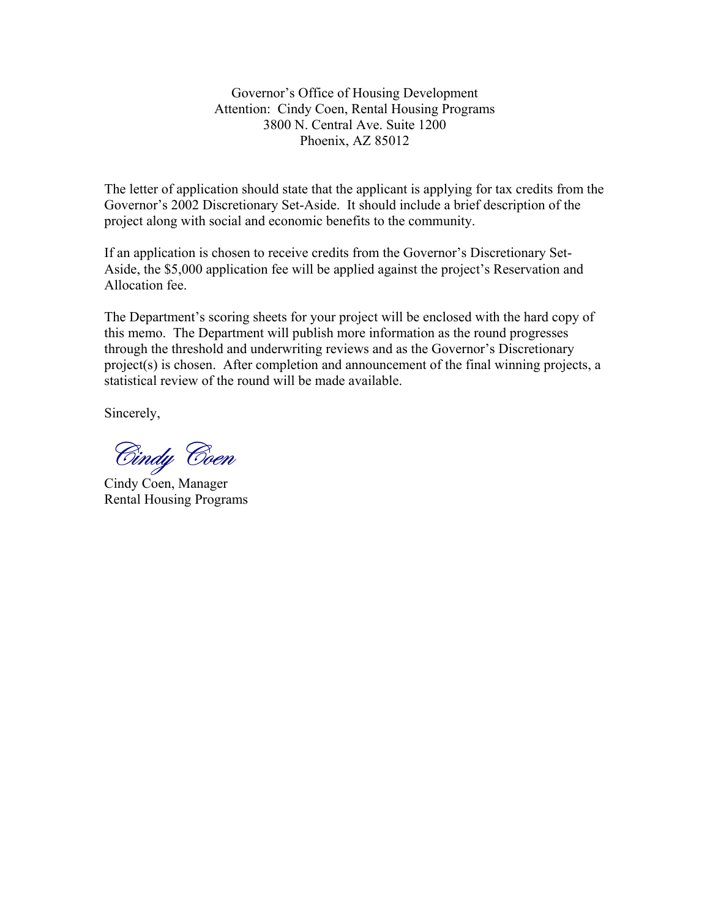Governor's Office of Housing Development Attention: Cindy Coen, Rental Housing Programs 3800 N. Central Ave. Suite 1200 Phoenix, AZ 85012

The letter of application should state that the applicant is applying for tax credits from the Governor's 2002 Discretionary Set-Aside. It should include a brief description of the project along with social and economic benefits to the community.

If an application is chosen to receive credits from the Governor's Discretionary Set-Aside, the \$5,000 application fee will be applied against the project's Reservation and Allocation fee.

The Department's scoring sheets for your project will be enclosed with the hard copy of this memo. The Department will publish more information as the round progresses through the threshold and underwriting reviews and as the Governor's Discretionary project(s) is chosen. After completion and announcement of the final winning projects, a statistical review of the round will be made available.

Sincerely,

Cindy Coen

Cindy Coen, Manager Rental Housing Programs